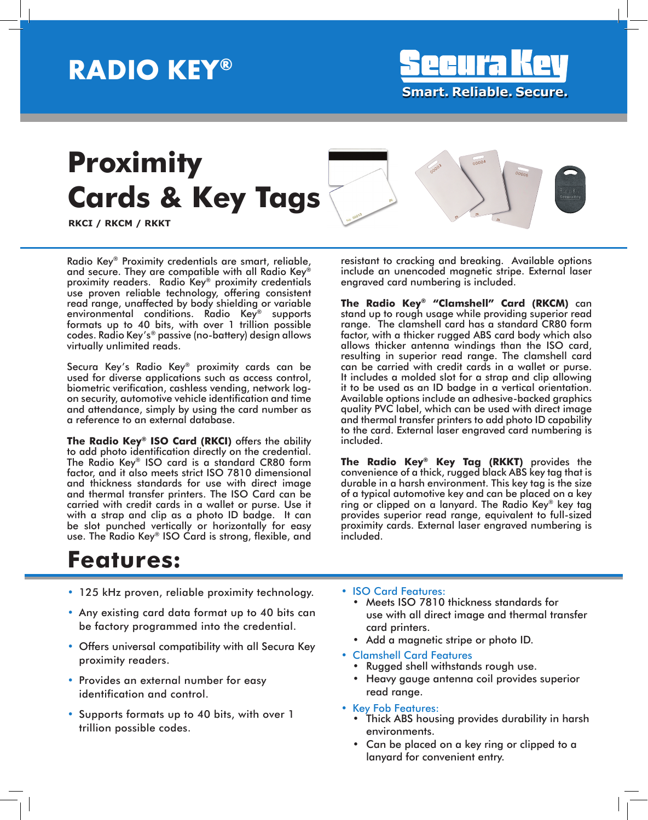## **RADIO KEY®**

**Smart . Reliable. Secure.**

## **Proximity Cards & Key Tags**



**RKCI / RKCM / RKKT**

Radio Key® Proximity credentials are smart, reliable, and secure. They are compatible with all Radio Key® proximity readers. Radio Key® proximity credentials use proven reliable technology, offering consistent read range, unaffected by body shielding or variable environmental conditions. Radio Key® supports formats up to 40 bits, with over 1 trillion possible codes. Radio Key's® passive (no-battery) design allows virtually unlimited reads.

Secura Key's Radio Key® proximity cards can be used for diverse applications such as access control, biometric verification, cashless vending, network logon security, automotive vehicle identification and time and attendance, simply by using the card number as a reference to an external database.

**The Radio Key® ISO Card (RKCI)** offers the ability to add photo identification directly on the credential. The Radio Key® ISO card is a standard CR80 form factor, and it also meets strict ISO 7810 dimensional and thickness standards for use with direct image and thermal transfer printers. The ISO Card can be carried with credit cards in a wallet or purse. Use it with a strap and clip as a photo ID badge. It can be slot punched vertically or horizontally for easy use. The Radio Key® ISO Card is strong, flexible, and

resistant to cracking and breaking. Available options include an unencoded magnetic stripe. External laser engraved card numbering is included.

**The Radio Key® "Clamshell" Card (RKCM)** can stand up to rough usage while providing superior read range. The clamshell card has a standard CR80 form factor, with a thicker rugged ABS card body which also allows thicker antenna windings than the ISO card, resulting in superior read range. The clamshell card can be carried with credit cards in a wallet or purse. It includes a molded slot for a strap and clip allowing it to be used as an ID badge in a vertical orientation. Available options include an adhesive-backed graphics quality PVC label, which can be used with direct image and thermal transfer printers to add photo ID capability to the card. External laser engraved card numbering is included.

**The Radio Key® Key Tag (RKKT)** provides the convenience of a thick, rugged black ABS key tag that is durable in a harsh environment. This key tag is the size of a typical automotive key and can be placed on a key ring or clipped on a lanyard. The Radio Key® key tag provides superior read range, equivalent to full-sized proximity cards. External laser engraved numbering is included.

### **Features:**

- 125 kHz proven, reliable proximity technology.
- Any existing card data format up to 40 bits can be factory programmed into the credential.
- Offers universal compatibility with all Secura Key proximity readers.
- Provides an external number for easy identification and control.
- Supports formats up to 40 bits, with over 1 trillion possible codes.
- ISO Card Features:
	- Meets ISO 7810 thickness standards for use with all direct image and thermal transfer card printers.
	- Add a magnetic stripe or photo ID.
- Clamshell Card Features
	- Rugged shell withstands rough use.
	- Heavy gauge antenna coil provides superior read range.
- Key Fob Features:
	- Thick ABS housing provides durability in harsh environments.
	- Can be placed on a key ring or clipped to a lanyard for convenient entry.